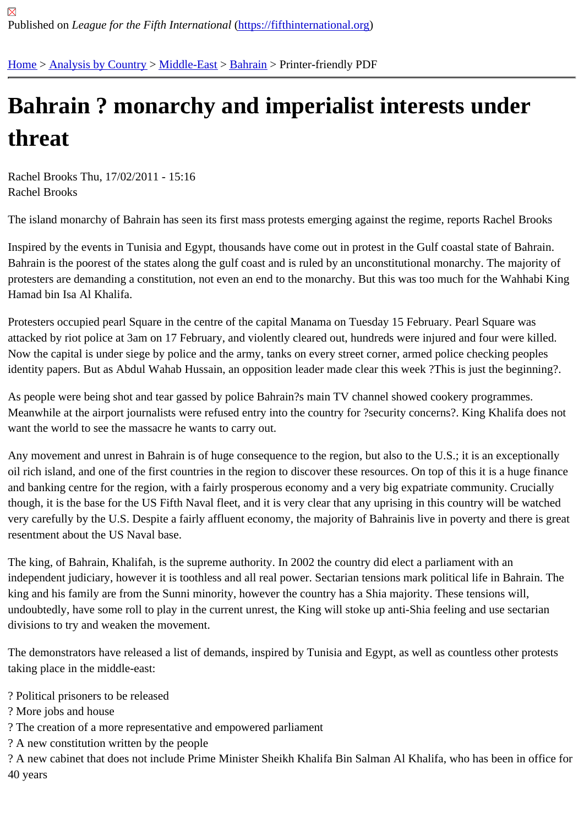## [Ba](https://fifthinternational.org/)[hrain ? mo](https://fifthinternational.org/category/1)[narchy](https://fifthinternational.org/category/1/178) [and](https://fifthinternational.org/category/1/178/180) imperialist interests under threat

Rachel Brooks Thu, 17/02/2011 - 15:16 Rachel Brooks

The island monarchy of Bahrain has seen its first mass protests emerging against the regime, reports Rachel Broo

Inspired by the events in Tunisia and Egypt, thousands have come out in protest in the Gulf coastal state of Bahra Bahrain is the poorest of the states along the gulf coast and is ruled by an unconstitutional monarchy. The majority protesters are demanding a constitution, not even an end to the monarchy. But this was too much for the Wahhabi Hamad bin Isa Al Khalifa.

Protesters occupied pearl Square in the centre of the capital Manama on Tuesday 15 February. Pearl Square was attacked by riot police at 3am on 17 February, and violently cleared out, hundreds were injured and four were kille Now the capital is under siege by police and the army, tanks on every street corner, armed police checking people identity papers. But as Abdul Wahab Hussain, an opposition leader made clear this week ?This is just the beginnir

As people were being shot and tear gassed by police Bahrain?s main TV channel showed cookery programmes. Meanwhile at the airport journalists were refused entry into the country for ?security concerns?. King Khalifa does want the world to see the massacre he wants to carry out.

Any movement and unrest in Bahrain is of huge consequence to the region, but also to the U.S.; it is an exception oil rich island, and one of the first countries in the region to discover these resources. On top of this it is a huge fina and banking centre for the region, with a fairly prosperous economy and a very big expatriate community. Crucially though, it is the base for the US Fifth Naval fleet, and it is very clear that any uprising in this country will be watche very carefully by the U.S. Despite a fairly affluent economy, the majority of Bahrainis live in poverty and there is gr resentment about the US Naval base.

The king, of Bahrain, Khalifah, is the supreme authority. In 2002 the country did elect a parliament with an independent judiciary, however it is toothless and all real power. Sectarian tensions mark political life in Bahrain. T king and his family are from the Sunni minority, however the country has a Shia majority. These tensions will, undoubtedly, have some roll to play in the current unrest, the King will stoke up anti-Shia feeling and use sectarian divisions to try and weaken the movement.

The demonstrators have released a list of demands, inspired by Tunisia and Egypt, as well as countless other prot taking place in the middle-east:

- ? Political prisoners to be released
- ? More jobs and house
- ? The creation of a more representative and empowered parliament
- ? A new constitution written by the people

? A new cabinet that does not include Prime Minister Sheikh Khalifa Bin Salman Al Khalifa, who has been in office 40 years